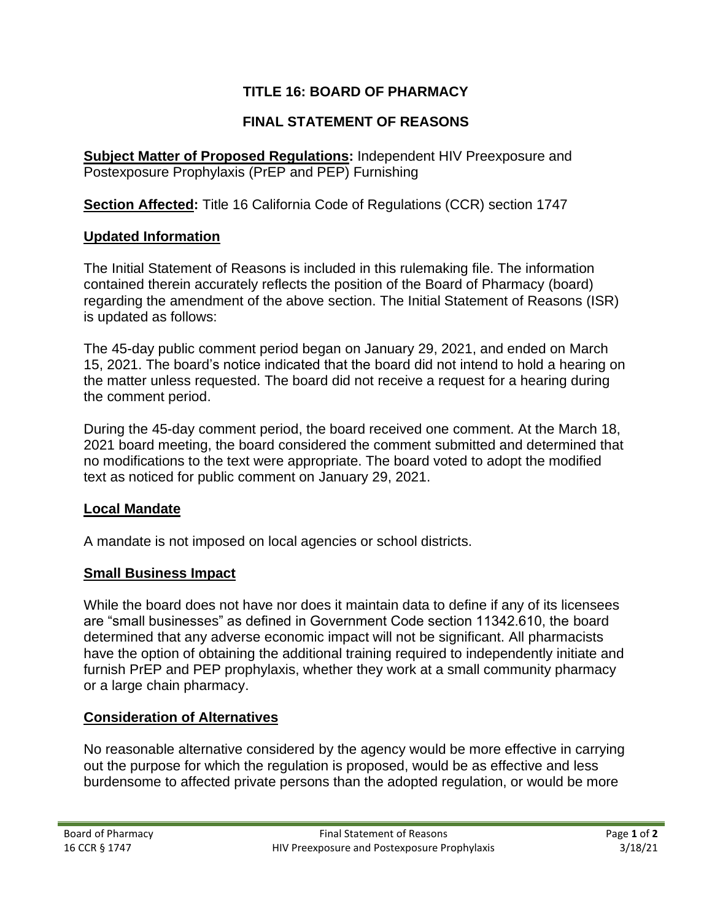# **TITLE 16: BOARD OF PHARMACY**

## **FINAL STATEMENT OF REASONS**

**Subject Matter of Proposed Regulations:** Independent HIV Preexposure and Postexposure Prophylaxis (PrEP and PEP) Furnishing

**Section Affected:** Title 16 California Code of Regulations (CCR) section 1747

#### **Updated Information**

The Initial Statement of Reasons is included in this rulemaking file. The information contained therein accurately reflects the position of the Board of Pharmacy (board) regarding the amendment of the above section. The Initial Statement of Reasons (ISR) is updated as follows:

The 45-day public comment period began on January 29, 2021, and ended on March 15, 2021. The board's notice indicated that the board did not intend to hold a hearing on the matter unless requested. The board did not receive a request for a hearing during the comment period.

During the 45-day comment period, the board received one comment. At the March 18, 2021 board meeting, the board considered the comment submitted and determined that no modifications to the text were appropriate. The board voted to adopt the modified text as noticed for public comment on January 29, 2021.

## **Local Mandate**

A mandate is not imposed on local agencies or school districts.

## **Small Business Impact**

While the board does not have nor does it maintain data to define if any of its licensees are "small businesses" as defined in Government Code section 11342.610, the board determined that any adverse economic impact will not be significant. All pharmacists have the option of obtaining the additional training required to independently initiate and furnish PrEP and PEP prophylaxis, whether they work at a small community pharmacy or a large chain pharmacy.

## **Consideration of Alternatives**

No reasonable alternative considered by the agency would be more effective in carrying out the purpose for which the regulation is proposed, would be as effective and less burdensome to affected private persons than the adopted regulation, or would be more